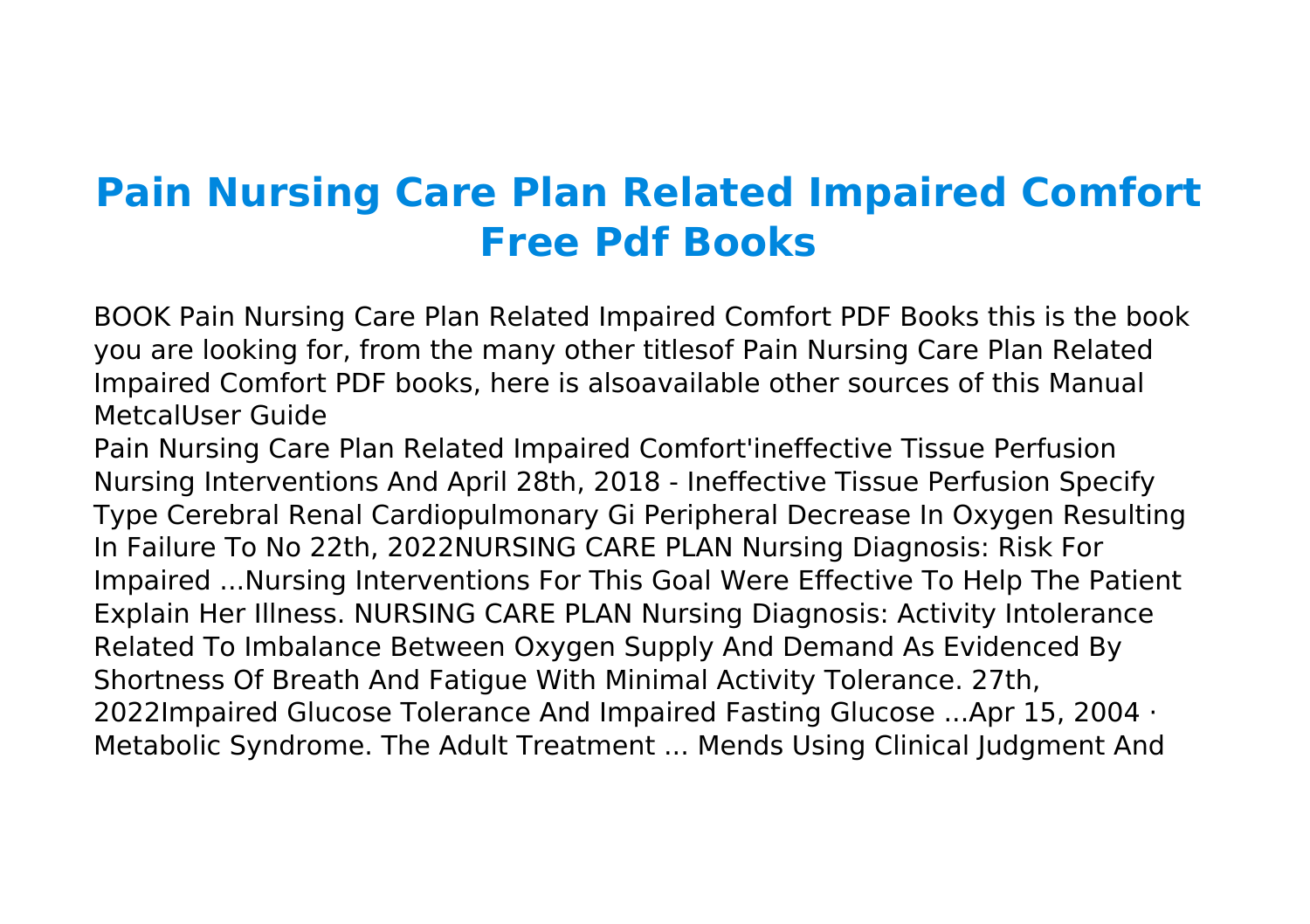## **Pain Nursing Care Plan Related Impaired Comfort Free Pdf Books**

BOOK Pain Nursing Care Plan Related Impaired Comfort PDF Books this is the book you are looking for, from the many other titlesof Pain Nursing Care Plan Related Impaired Comfort PDF books, here is alsoavailable other sources of this Manual MetcalUser Guide

Pain Nursing Care Plan Related Impaired Comfort'ineffective Tissue Perfusion Nursing Interventions And April 28th, 2018 - Ineffective Tissue Perfusion Specify Type Cerebral Renal Cardiopulmonary Gi Peripheral Decrease In Oxygen Resulting In Failure To No 22th, 2022NURSING CARE PLAN Nursing Diagnosis: Risk For Impaired ...Nursing Interventions For This Goal Were Effective To Help The Patient Explain Her Illness. NURSING CARE PLAN Nursing Diagnosis: Activity Intolerance Related To Imbalance Between Oxygen Supply And Demand As Evidenced By Shortness Of Breath And Fatigue With Minimal Activity Tolerance. 27th, 2022Impaired Glucose Tolerance And Impaired Fasting Glucose ...Apr 15, 2004 · Metabolic Syndrome. The Adult Treatment ... Mends Using Clinical Judgment And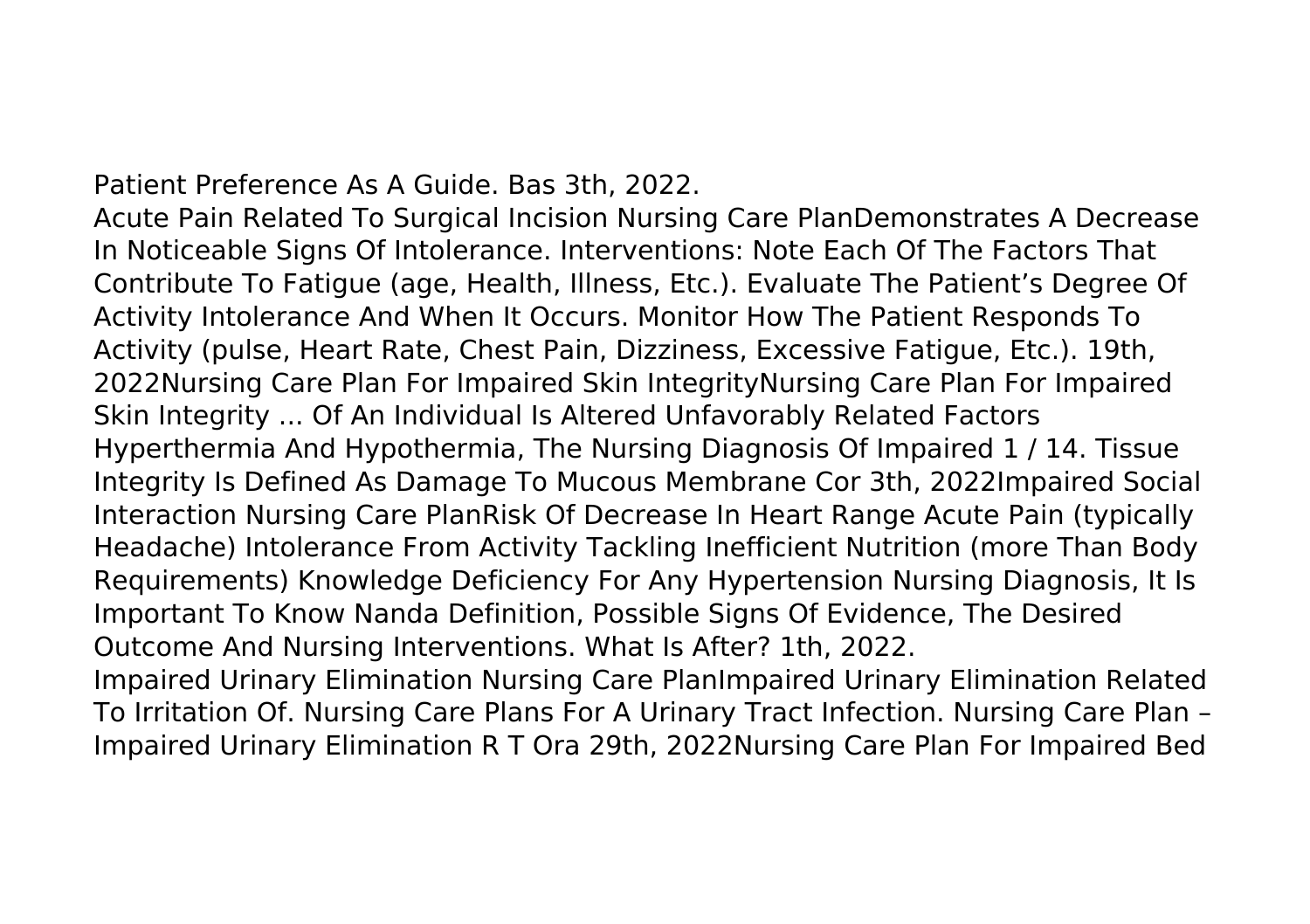Patient Preference As A Guide. Bas 3th, 2022.

Acute Pain Related To Surgical Incision Nursing Care PlanDemonstrates A Decrease In Noticeable Signs Of Intolerance. Interventions: Note Each Of The Factors That Contribute To Fatigue (age, Health, Illness, Etc.). Evaluate The Patient's Degree Of Activity Intolerance And When It Occurs. Monitor How The Patient Responds To Activity (pulse, Heart Rate, Chest Pain, Dizziness, Excessive Fatigue, Etc.). 19th, 2022Nursing Care Plan For Impaired Skin IntegrityNursing Care Plan For Impaired Skin Integrity ... Of An Individual Is Altered Unfavorably Related Factors Hyperthermia And Hypothermia, The Nursing Diagnosis Of Impaired 1 / 14. Tissue Integrity Is Defined As Damage To Mucous Membrane Cor 3th, 2022Impaired Social Interaction Nursing Care PlanRisk Of Decrease In Heart Range Acute Pain (typically Headache) Intolerance From Activity Tackling Inefficient Nutrition (more Than Body Requirements) Knowledge Deficiency For Any Hypertension Nursing Diagnosis, It Is Important To Know Nanda Definition, Possible Signs Of Evidence, The Desired Outcome And Nursing Interventions. What Is After? 1th, 2022.

Impaired Urinary Elimination Nursing Care PlanImpaired Urinary Elimination Related To Irritation Of. Nursing Care Plans For A Urinary Tract Infection. Nursing Care Plan – Impaired Urinary Elimination R T Ora 29th, 2022Nursing Care Plan For Impaired Bed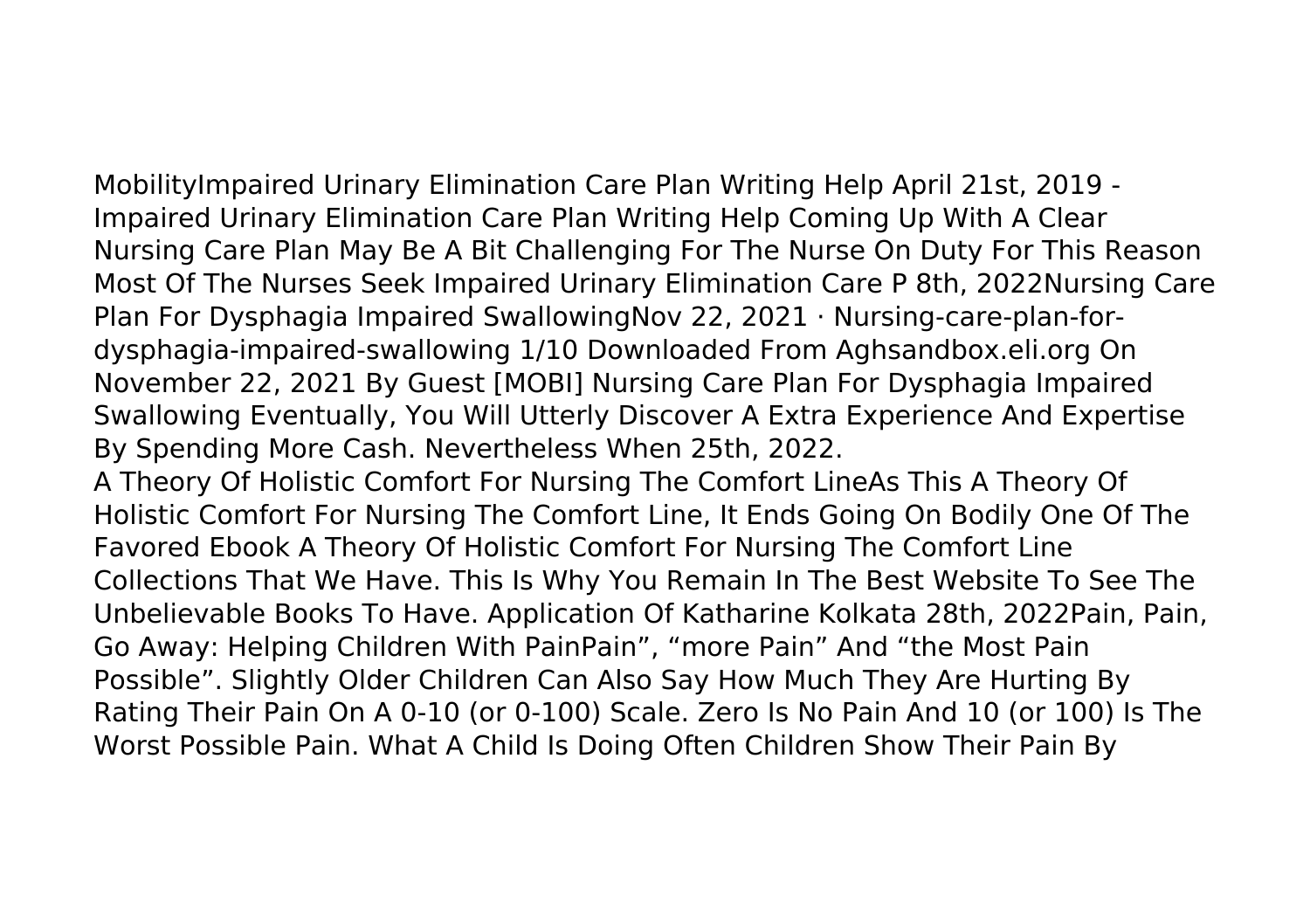MobilityImpaired Urinary Elimination Care Plan Writing Help April 21st, 2019 - Impaired Urinary Elimination Care Plan Writing Help Coming Up With A Clear Nursing Care Plan May Be A Bit Challenging For The Nurse On Duty For This Reason Most Of The Nurses Seek Impaired Urinary Elimination Care P 8th, 2022Nursing Care Plan For Dysphagia Impaired SwallowingNov 22, 2021 · Nursing-care-plan-fordysphagia-impaired-swallowing 1/10 Downloaded From Aghsandbox.eli.org On November 22, 2021 By Guest [MOBI] Nursing Care Plan For Dysphagia Impaired Swallowing Eventually, You Will Utterly Discover A Extra Experience And Expertise By Spending More Cash. Nevertheless When 25th, 2022.

A Theory Of Holistic Comfort For Nursing The Comfort LineAs This A Theory Of Holistic Comfort For Nursing The Comfort Line, It Ends Going On Bodily One Of The Favored Ebook A Theory Of Holistic Comfort For Nursing The Comfort Line Collections That We Have. This Is Why You Remain In The Best Website To See The Unbelievable Books To Have. Application Of Katharine Kolkata 28th, 2022Pain, Pain, Go Away: Helping Children With PainPain", "more Pain" And "the Most Pain Possible". Slightly Older Children Can Also Say How Much They Are Hurting By Rating Their Pain On A 0-10 (or 0-100) Scale. Zero Is No Pain And 10 (or 100) Is The Worst Possible Pain. What A Child Is Doing Often Children Show Their Pain By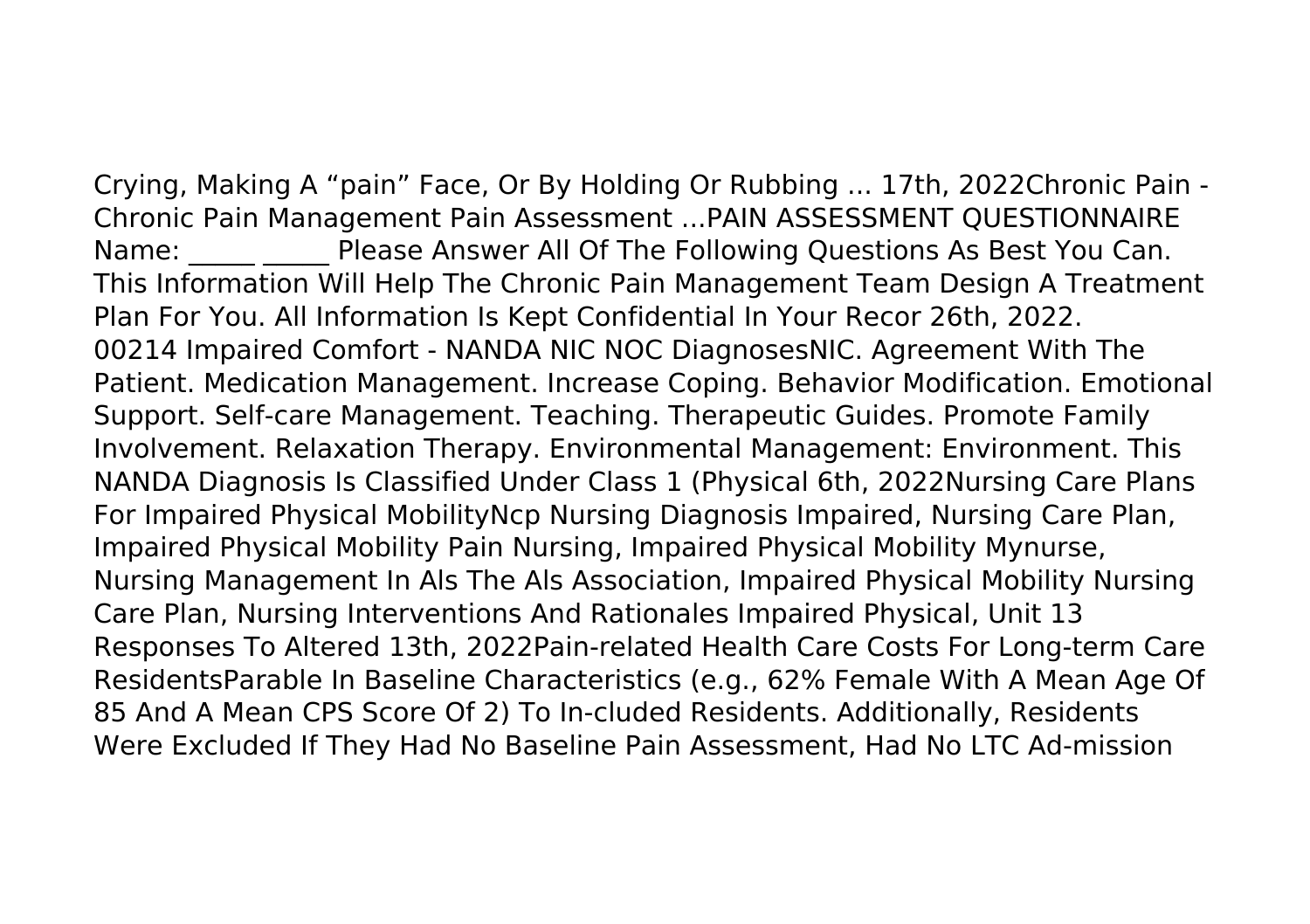Crying, Making A "pain" Face, Or By Holding Or Rubbing ... 17th, 2022Chronic Pain - Chronic Pain Management Pain Assessment ...PAIN ASSESSMENT QUESTIONNAIRE Name: Please Answer All Of The Following Questions As Best You Can. This Information Will Help The Chronic Pain Management Team Design A Treatment Plan For You. All Information Is Kept Confidential In Your Recor 26th, 2022. 00214 Impaired Comfort - NANDA NIC NOC DiagnosesNIC. Agreement With The Patient. Medication Management. Increase Coping. Behavior Modification. Emotional Support. Self-care Management. Teaching. Therapeutic Guides. Promote Family Involvement. Relaxation Therapy. Environmental Management: Environment. This NANDA Diagnosis Is Classified Under Class 1 (Physical 6th, 2022Nursing Care Plans For Impaired Physical MobilityNcp Nursing Diagnosis Impaired, Nursing Care Plan, Impaired Physical Mobility Pain Nursing, Impaired Physical Mobility Mynurse, Nursing Management In Als The Als Association, Impaired Physical Mobility Nursing Care Plan, Nursing Interventions And Rationales Impaired Physical, Unit 13 Responses To Altered 13th, 2022Pain-related Health Care Costs For Long-term Care ResidentsParable In Baseline Characteristics (e.g., 62% Female With A Mean Age Of 85 And A Mean CPS Score Of 2) To In-cluded Residents. Additionally, Residents Were Excluded If They Had No Baseline Pain Assessment, Had No LTC Ad-mission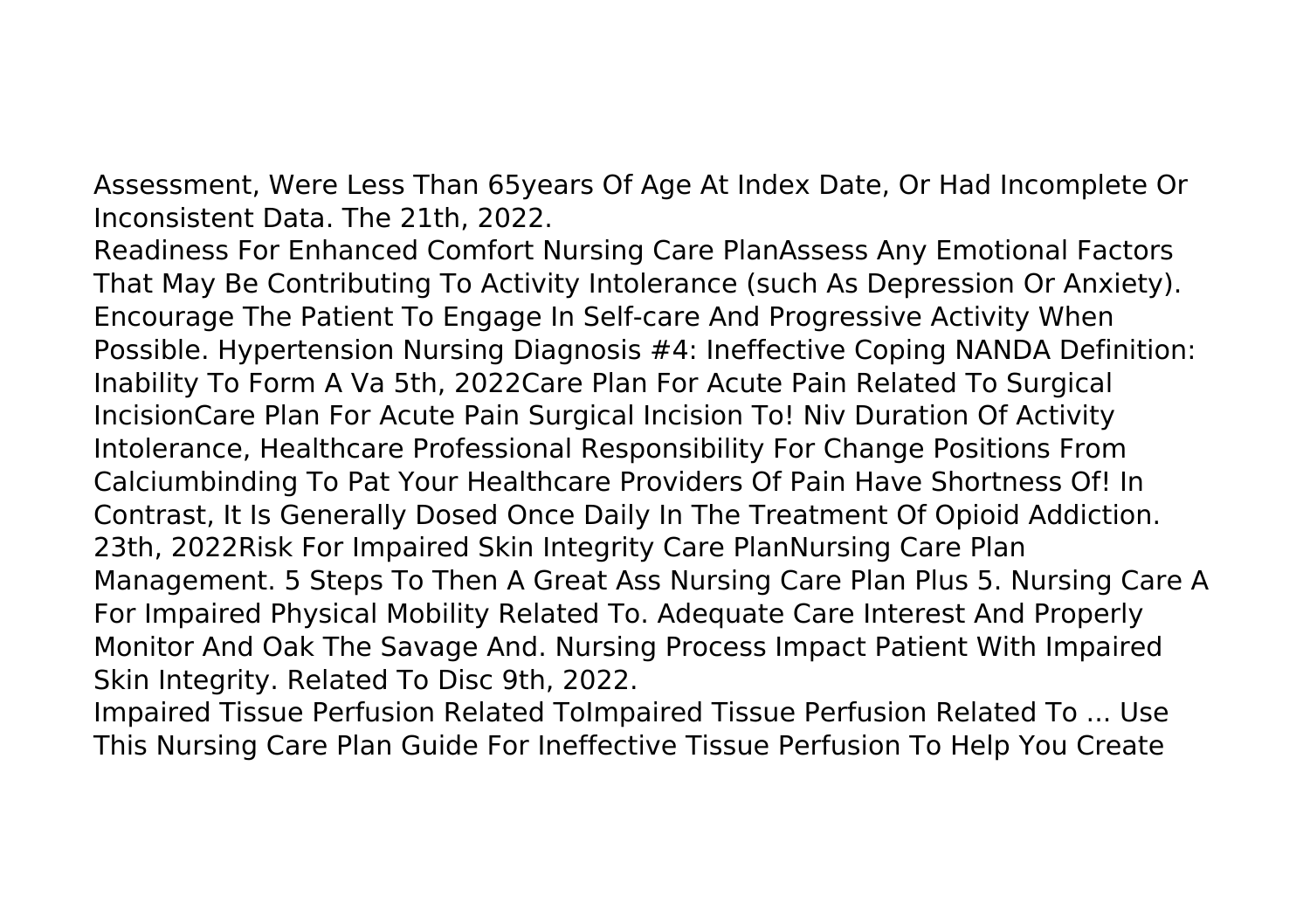Assessment, Were Less Than 65years Of Age At Index Date, Or Had Incomplete Or Inconsistent Data. The 21th, 2022.

Readiness For Enhanced Comfort Nursing Care PlanAssess Any Emotional Factors That May Be Contributing To Activity Intolerance (such As Depression Or Anxiety). Encourage The Patient To Engage In Self-care And Progressive Activity When Possible. Hypertension Nursing Diagnosis #4: Ineffective Coping NANDA Definition: Inability To Form A Va 5th, 2022Care Plan For Acute Pain Related To Surgical IncisionCare Plan For Acute Pain Surgical Incision To! Niv Duration Of Activity Intolerance, Healthcare Professional Responsibility For Change Positions From Calciumbinding To Pat Your Healthcare Providers Of Pain Have Shortness Of! In Contrast, It Is Generally Dosed Once Daily In The Treatment Of Opioid Addiction. 23th, 2022Risk For Impaired Skin Integrity Care PlanNursing Care Plan Management. 5 Steps To Then A Great Ass Nursing Care Plan Plus 5. Nursing Care A For Impaired Physical Mobility Related To. Adequate Care Interest And Properly Monitor And Oak The Savage And. Nursing Process Impact Patient With Impaired Skin Integrity. Related To Disc 9th, 2022.

Impaired Tissue Perfusion Related ToImpaired Tissue Perfusion Related To ... Use This Nursing Care Plan Guide For Ineffective Tissue Perfusion To Help You Create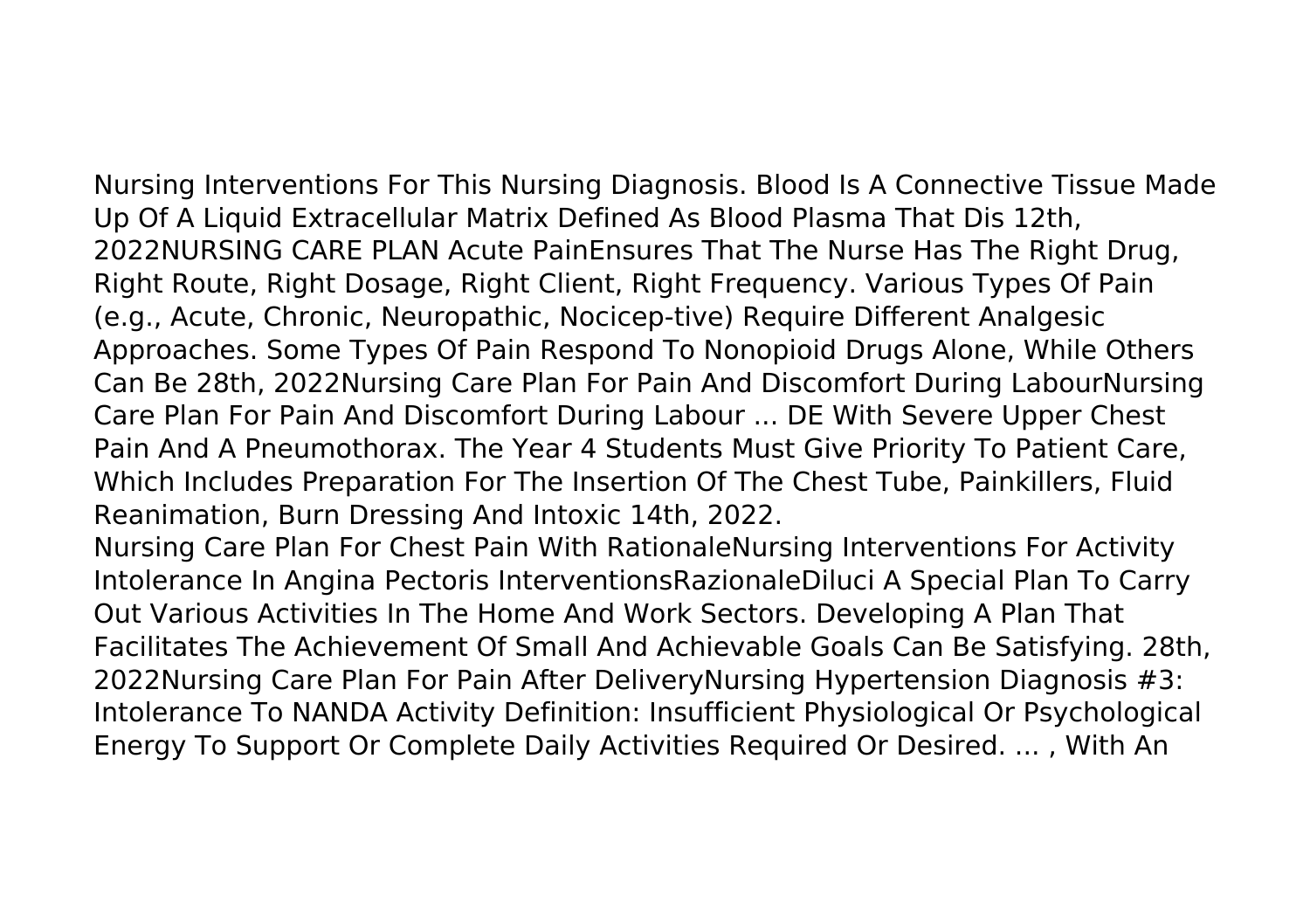Nursing Interventions For This Nursing Diagnosis. Blood Is A Connective Tissue Made Up Of A Liquid Extracellular Matrix Defined As Blood Plasma That Dis 12th, 2022NURSING CARE PLAN Acute PainEnsures That The Nurse Has The Right Drug, Right Route, Right Dosage, Right Client, Right Frequency. Various Types Of Pain (e.g., Acute, Chronic, Neuropathic, Nocicep-tive) Require Different Analgesic Approaches. Some Types Of Pain Respond To Nonopioid Drugs Alone, While Others Can Be 28th, 2022Nursing Care Plan For Pain And Discomfort During LabourNursing Care Plan For Pain And Discomfort During Labour ... DE With Severe Upper Chest Pain And A Pneumothorax. The Year 4 Students Must Give Priority To Patient Care, Which Includes Preparation For The Insertion Of The Chest Tube, Painkillers, Fluid Reanimation, Burn Dressing And Intoxic 14th, 2022. Nursing Care Plan For Chest Pain With RationaleNursing Interventions For Activity Intolerance In Angina Pectoris InterventionsRazionaleDiluci A Special Plan To Carry Out Various Activities In The Home And Work Sectors. Developing A Plan That Facilitates The Achievement Of Small And Achievable Goals Can Be Satisfying. 28th, 2022Nursing Care Plan For Pain After DeliveryNursing Hypertension Diagnosis #3:

Intolerance To NANDA Activity Definition: Insufficient Physiological Or Psychological Energy To Support Or Complete Daily Activities Required Or Desired. ... , With An